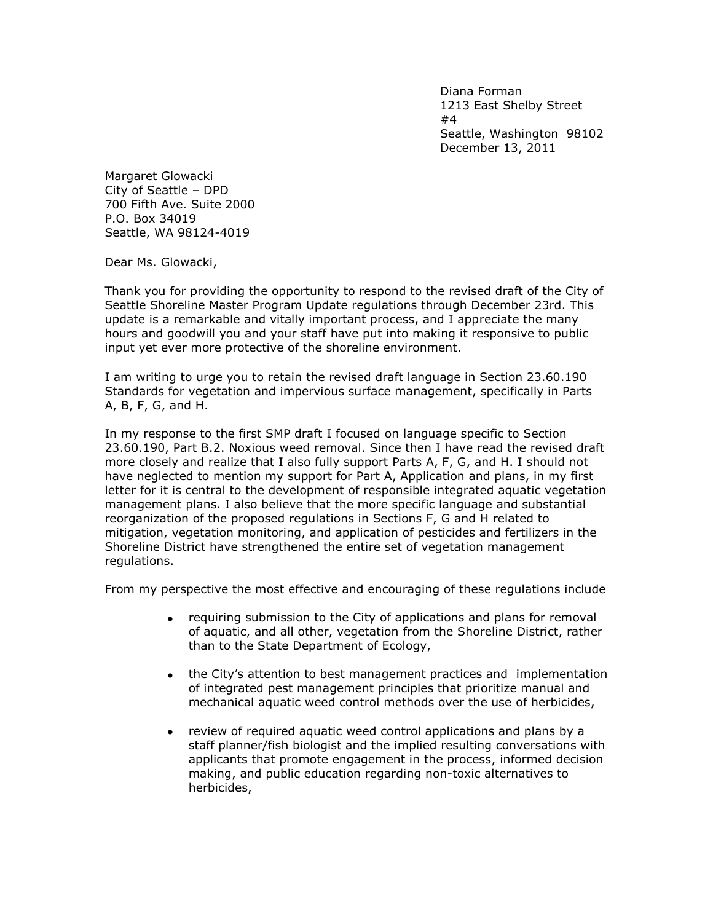Diana Forman 1213 East Shelby Street #4 Seattle, Washington 98102 December 13, 2011

Margaret Glowacki City of Seattle – DPD 700 Fifth Ave. Suite 2000 P.O. Box 34019 Seattle, WA 98124-4019

Dear Ms. Glowacki,

Thank you for providing the opportunity to respond to the revised draft of the City of Seattle Shoreline Master Program Update regulations through December 23rd. This update is a remarkable and vitally important process, and I appreciate the many hours and goodwill you and your staff have put into making it responsive to public input yet ever more protective of the shoreline environment.

I am writing to urge you to retain the revised draft language in Section 23.60.190 Standards for vegetation and impervious surface management, specifically in Parts A, B, F, G, and H.

In my response to the first SMP draft I focused on language specific to Section 23.60.190, Part B.2. Noxious weed removal. Since then I have read the revised draft more closely and realize that I also fully support Parts A, F, G, and H. I should not have neglected to mention my support for Part A, Application and plans, in my first letter for it is central to the development of responsible integrated aquatic vegetation management plans. I also believe that the more specific language and substantial reorganization of the proposed regulations in Sections F, G and H related to mitigation, vegetation monitoring, and application of pesticides and fertilizers in the Shoreline District have strengthened the entire set of vegetation management regulations.

From my perspective the most effective and encouraging of these regulations include

- requiring submission to the City of applications and plans for removal  $\bullet$ of aquatic, and all other, vegetation from the Shoreline District, rather than to the State Department of Ecology,
- the City's attention to best management practices and implementation  $\bullet$ of integrated pest management principles that prioritize manual and mechanical aquatic weed control methods over the use of herbicides,
- review of required aquatic weed control applications and plans by a  $\bullet$ staff planner/fish biologist and the implied resulting conversations with applicants that promote engagement in the process, informed decision making, and public education regarding non-toxic alternatives to herbicides,